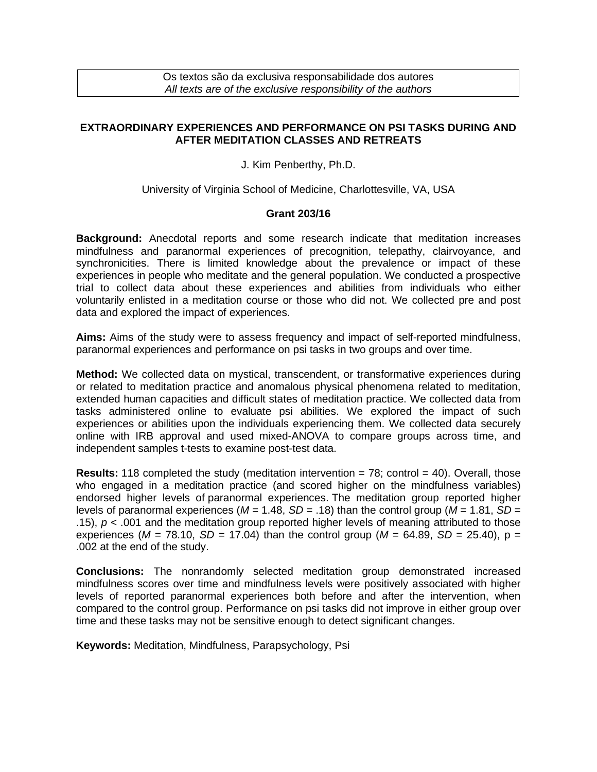Os textos são da exclusiva responsabilidade dos autores *All texts are of the exclusive responsibility of the authors*

## **EXTRAORDINARY EXPERIENCES AND PERFORMANCE ON PSI TASKS DURING AND AFTER MEDITATION CLASSES AND RETREATS**

J. Kim Penberthy, Ph.D.

University of Virginia School of Medicine, Charlottesville, VA, USA

## **Grant 203/16**

**Background:** Anecdotal reports and some research indicate that meditation increases mindfulness and paranormal experiences of precognition, telepathy, clairvoyance, and synchronicities. There is limited knowledge about the prevalence or impact of these experiences in people who meditate and the general population. We conducted a prospective trial to collect data about these experiences and abilities from individuals who either voluntarily enlisted in a meditation course or those who did not. We collected pre and post data and explored the impact of experiences.

**Aims:** Aims of the study were to assess frequency and impact of self-reported mindfulness, paranormal experiences and performance on psi tasks in two groups and over time.

**Method:** We collected data on mystical, transcendent, or transformative experiences during or related to meditation practice and anomalous physical phenomena related to meditation, extended human capacities and difficult states of meditation practice. We collected data from tasks administered online to evaluate psi abilities. We explored the impact of such experiences or abilities upon the individuals experiencing them. We collected data securely online with IRB approval and used mixed-ANOVA to compare groups across time, and independent samples t-tests to examine post-test data.

**Results:** 118 completed the study (meditation intervention  $= 78$ ; control  $= 40$ ). Overall, those who engaged in a meditation practice (and scored higher on the mindfulness variables) endorsed higher levels of paranormal experiences. The meditation group reported higher levels of paranormal experiences ( $M = 1.48$ ,  $SD = .18$ ) than the control group ( $M = 1.81$ ,  $SD =$ .15), *p* < .001 and the meditation group reported higher levels of meaning attributed to those experiences ( $M = 78.10$ ,  $SD = 17.04$ ) than the control group ( $M = 64.89$ ,  $SD = 25.40$ ),  $p =$ .002 at the end of the study.

**Conclusions:** The nonrandomly selected meditation group demonstrated increased mindfulness scores over time and mindfulness levels were positively associated with higher levels of reported paranormal experiences both before and after the intervention, when compared to the control group. Performance on psi tasks did not improve in either group over time and these tasks may not be sensitive enough to detect significant changes.

**Keywords:** Meditation, Mindfulness, Parapsychology, Psi